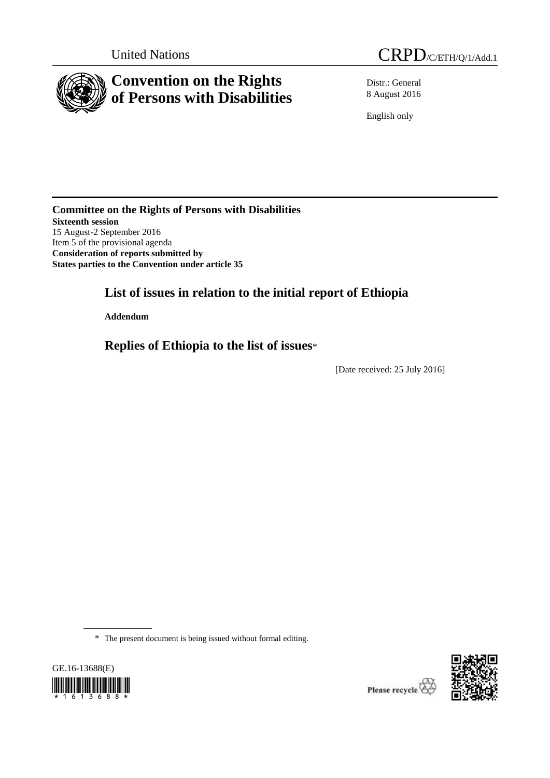

Distr.: General 8 August 2016

English only

**Committee on the Rights of Persons with Disabilities Sixteenth session** 15 August-2 September 2016 Item 5 of the provisional agenda **Consideration of reports submitted by States parties to the Convention under article 35**

# **List of issues in relation to the initial report of Ethiopia**

**Addendum**

**Replies of Ethiopia to the list of issues**\*

[Date received: 25 July 2016]

\* The present document is being issued without formal editing.



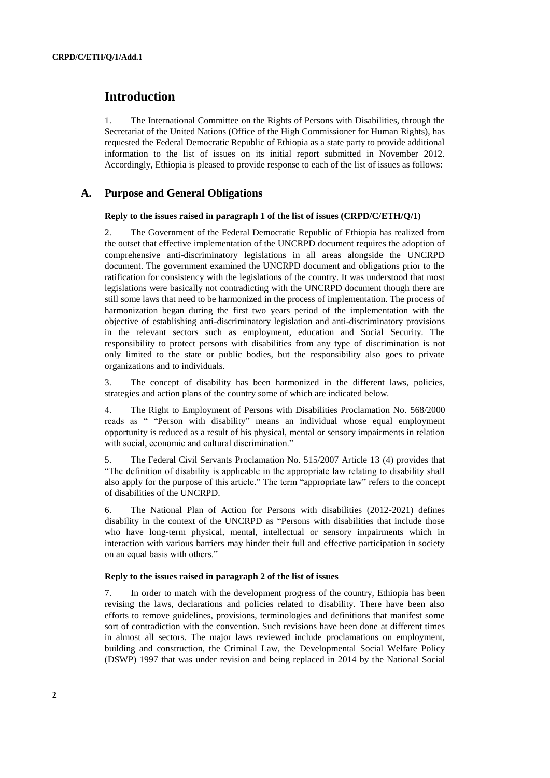# **Introduction**

1. The International Committee on the Rights of Persons with Disabilities, through the Secretariat of the United Nations (Office of the High Commissioner for Human Rights), has requested the Federal Democratic Republic of Ethiopia as a state party to provide additional information to the list of issues on its initial report submitted in November 2012. Accordingly, Ethiopia is pleased to provide response to each of the list of issues as follows:

# **A. Purpose and General Obligations**

### **Reply to the issues raised in paragraph 1 of the list of issues (CRPD/C/ETH/Q/1)**

2. The Government of the Federal Democratic Republic of Ethiopia has realized from the outset that effective implementation of the UNCRPD document requires the adoption of comprehensive anti-discriminatory legislations in all areas alongside the UNCRPD document. The government examined the UNCRPD document and obligations prior to the ratification for consistency with the legislations of the country. It was understood that most legislations were basically not contradicting with the UNCRPD document though there are still some laws that need to be harmonized in the process of implementation. The process of harmonization began during the first two years period of the implementation with the objective of establishing anti-discriminatory legislation and anti-discriminatory provisions in the relevant sectors such as employment, education and Social Security. The responsibility to protect persons with disabilities from any type of discrimination is not only limited to the state or public bodies, but the responsibility also goes to private organizations and to individuals.

3. The concept of disability has been harmonized in the different laws, policies, strategies and action plans of the country some of which are indicated below.

4. The Right to Employment of Persons with Disabilities Proclamation No. 568/2000 reads as " "Person with disability" means an individual whose equal employment opportunity is reduced as a result of his physical, mental or sensory impairments in relation with social, economic and cultural discrimination."

5. The Federal Civil Servants Proclamation No. 515/2007 Article 13 (4) provides that "The definition of disability is applicable in the appropriate law relating to disability shall also apply for the purpose of this article." The term "appropriate law" refers to the concept of disabilities of the UNCRPD.

6. The National Plan of Action for Persons with disabilities (2012-2021) defines disability in the context of the UNCRPD as "Persons with disabilities that include those who have long-term physical, mental, intellectual or sensory impairments which in interaction with various barriers may hinder their full and effective participation in society on an equal basis with others."

### **Reply to the issues raised in paragraph 2 of the list of issues**

7. In order to match with the development progress of the country, Ethiopia has been revising the laws, declarations and policies related to disability. There have been also efforts to remove guidelines, provisions, terminologies and definitions that manifest some sort of contradiction with the convention. Such revisions have been done at different times in almost all sectors. The major laws reviewed include proclamations on employment, building and construction, the Criminal Law, the Developmental Social Welfare Policy (DSWP) 1997 that was under revision and being replaced in 2014 by the National Social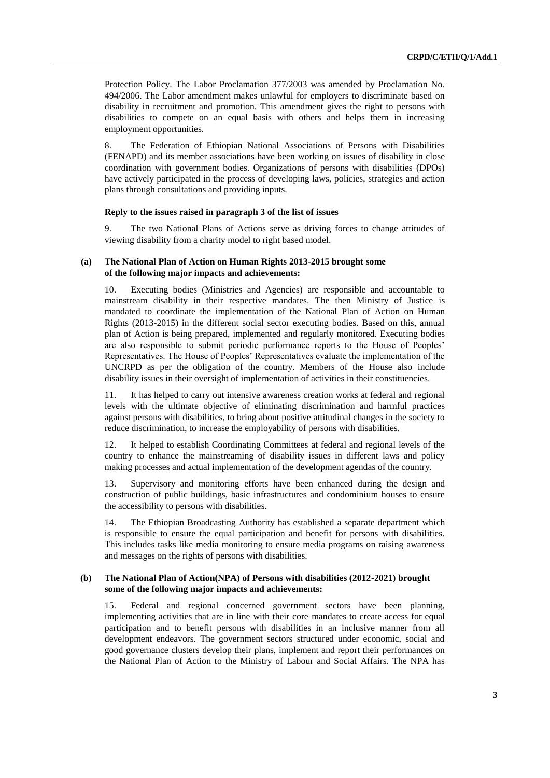Protection Policy. The Labor Proclamation 377/2003 was amended by Proclamation No. 494/2006. The Labor amendment makes unlawful for employers to discriminate based on disability in recruitment and promotion. This amendment gives the right to persons with disabilities to compete on an equal basis with others and helps them in increasing employment opportunities.

8. The Federation of Ethiopian National Associations of Persons with Disabilities (FENAPD) and its member associations have been working on issues of disability in close coordination with government bodies. Organizations of persons with disabilities (DPOs) have actively participated in the process of developing laws, policies, strategies and action plans through consultations and providing inputs.

#### **Reply to the issues raised in paragraph 3 of the list of issues**

9. The two National Plans of Actions serve as driving forces to change attitudes of viewing disability from a charity model to right based model.

### **(a) The National Plan of Action on Human Rights 2013-2015 brought some of the following major impacts and achievements:**

10. Executing bodies (Ministries and Agencies) are responsible and accountable to mainstream disability in their respective mandates. The then Ministry of Justice is mandated to coordinate the implementation of the National Plan of Action on Human Rights (2013-2015) in the different social sector executing bodies. Based on this, annual plan of Action is being prepared, implemented and regularly monitored. Executing bodies are also responsible to submit periodic performance reports to the House of Peoples' Representatives. The House of Peoples' Representatives evaluate the implementation of the UNCRPD as per the obligation of the country. Members of the House also include disability issues in their oversight of implementation of activities in their constituencies.

11. It has helped to carry out intensive awareness creation works at federal and regional levels with the ultimate objective of eliminating discrimination and harmful practices against persons with disabilities, to bring about positive attitudinal changes in the society to reduce discrimination, to increase the employability of persons with disabilities.

12. It helped to establish Coordinating Committees at federal and regional levels of the country to enhance the mainstreaming of disability issues in different laws and policy making processes and actual implementation of the development agendas of the country.

13. Supervisory and monitoring efforts have been enhanced during the design and construction of public buildings, basic infrastructures and condominium houses to ensure the accessibility to persons with disabilities.

14. The Ethiopian Broadcasting Authority has established a separate department which is responsible to ensure the equal participation and benefit for persons with disabilities. This includes tasks like media monitoring to ensure media programs on raising awareness and messages on the rights of persons with disabilities.

### **(b) The National Plan of Action(NPA) of Persons with disabilities (2012-2021) brought some of the following major impacts and achievements:**

15. Federal and regional concerned government sectors have been planning, implementing activities that are in line with their core mandates to create access for equal participation and to benefit persons with disabilities in an inclusive manner from all development endeavors. The government sectors structured under economic, social and good governance clusters develop their plans, implement and report their performances on the National Plan of Action to the Ministry of Labour and Social Affairs. The NPA has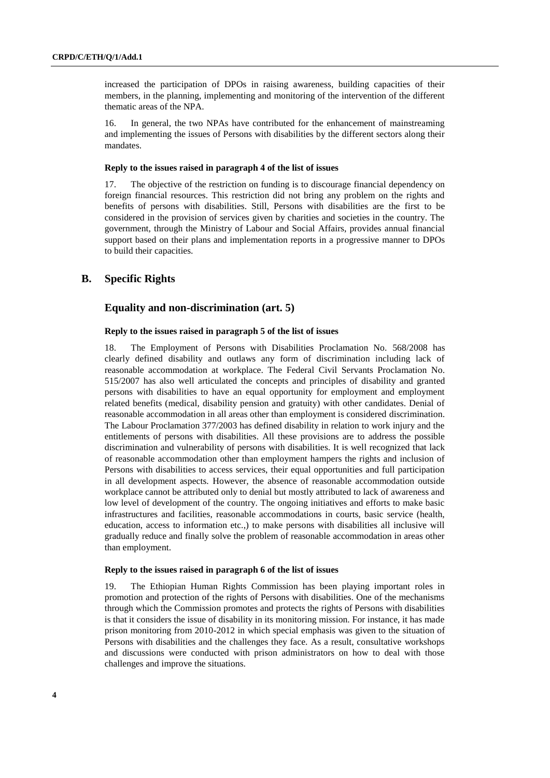increased the participation of DPOs in raising awareness, building capacities of their members, in the planning, implementing and monitoring of the intervention of the different thematic areas of the NPA.

16. In general, the two NPAs have contributed for the enhancement of mainstreaming and implementing the issues of Persons with disabilities by the different sectors along their mandates.

#### **Reply to the issues raised in paragraph 4 of the list of issues**

The objective of the restriction on funding is to discourage financial dependency on foreign financial resources. This restriction did not bring any problem on the rights and benefits of persons with disabilities. Still, Persons with disabilities are the first to be considered in the provision of services given by charities and societies in the country. The government, through the Ministry of Labour and Social Affairs, provides annual financial support based on their plans and implementation reports in a progressive manner to DPOs to build their capacities.

# **B. Specific Rights**

# **Equality and non-discrimination (art. 5)**

### **Reply to the issues raised in paragraph 5 of the list of issues**

18. The Employment of Persons with Disabilities Proclamation No. 568/2008 has clearly defined disability and outlaws any form of discrimination including lack of reasonable accommodation at workplace. The Federal Civil Servants Proclamation No. 515/2007 has also well articulated the concepts and principles of disability and granted persons with disabilities to have an equal opportunity for employment and employment related benefits (medical, disability pension and gratuity) with other candidates. Denial of reasonable accommodation in all areas other than employment is considered discrimination. The Labour Proclamation 377/2003 has defined disability in relation to work injury and the entitlements of persons with disabilities. All these provisions are to address the possible discrimination and vulnerability of persons with disabilities. It is well recognized that lack of reasonable accommodation other than employment hampers the rights and inclusion of Persons with disabilities to access services, their equal opportunities and full participation in all development aspects. However, the absence of reasonable accommodation outside workplace cannot be attributed only to denial but mostly attributed to lack of awareness and low level of development of the country. The ongoing initiatives and efforts to make basic infrastructures and facilities, reasonable accommodations in courts, basic service (health, education, access to information etc.,) to make persons with disabilities all inclusive will gradually reduce and finally solve the problem of reasonable accommodation in areas other than employment.

#### **Reply to the issues raised in paragraph 6 of the list of issues**

19. The Ethiopian Human Rights Commission has been playing important roles in promotion and protection of the rights of Persons with disabilities. One of the mechanisms through which the Commission promotes and protects the rights of Persons with disabilities is that it considers the issue of disability in its monitoring mission. For instance, it has made prison monitoring from 2010-2012 in which special emphasis was given to the situation of Persons with disabilities and the challenges they face. As a result, consultative workshops and discussions were conducted with prison administrators on how to deal with those challenges and improve the situations.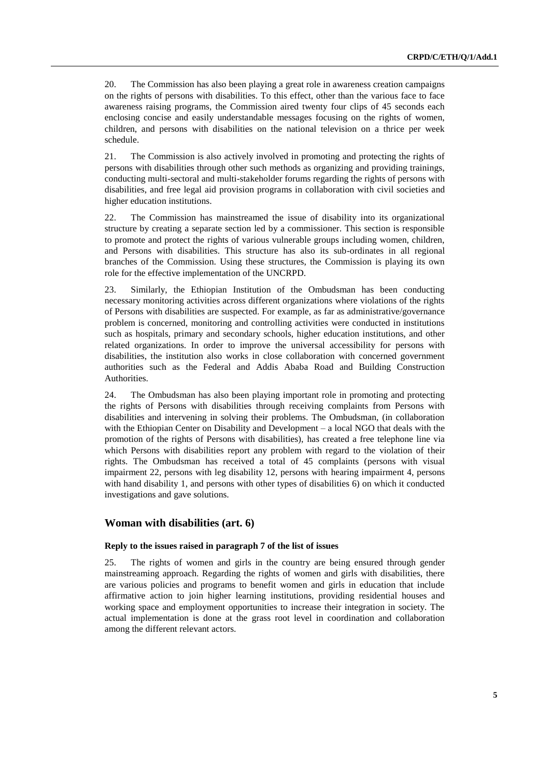20. The Commission has also been playing a great role in awareness creation campaigns on the rights of persons with disabilities. To this effect, other than the various face to face awareness raising programs, the Commission aired twenty four clips of 45 seconds each enclosing concise and easily understandable messages focusing on the rights of women, children, and persons with disabilities on the national television on a thrice per week schedule.

21. The Commission is also actively involved in promoting and protecting the rights of persons with disabilities through other such methods as organizing and providing trainings, conducting multi-sectoral and multi-stakeholder forums regarding the rights of persons with disabilities, and free legal aid provision programs in collaboration with civil societies and higher education institutions.

22. The Commission has mainstreamed the issue of disability into its organizational structure by creating a separate section led by a commissioner. This section is responsible to promote and protect the rights of various vulnerable groups including women, children, and Persons with disabilities. This structure has also its sub-ordinates in all regional branches of the Commission. Using these structures, the Commission is playing its own role for the effective implementation of the UNCRPD.

23. Similarly, the Ethiopian Institution of the Ombudsman has been conducting necessary monitoring activities across different organizations where violations of the rights of Persons with disabilities are suspected. For example, as far as administrative/governance problem is concerned, monitoring and controlling activities were conducted in institutions such as hospitals, primary and secondary schools, higher education institutions, and other related organizations. In order to improve the universal accessibility for persons with disabilities, the institution also works in close collaboration with concerned government authorities such as the Federal and Addis Ababa Road and Building Construction Authorities.

24. The Ombudsman has also been playing important role in promoting and protecting the rights of Persons with disabilities through receiving complaints from Persons with disabilities and intervening in solving their problems. The Ombudsman, (in collaboration with the Ethiopian Center on Disability and Development – a local NGO that deals with the promotion of the rights of Persons with disabilities), has created a free telephone line via which Persons with disabilities report any problem with regard to the violation of their rights. The Ombudsman has received a total of 45 complaints (persons with visual impairment 22, persons with leg disability 12, persons with hearing impairment 4, persons with hand disability 1, and persons with other types of disabilities 6) on which it conducted investigations and gave solutions.

# **Woman with disabilities (art. 6)**

#### **Reply to the issues raised in paragraph 7 of the list of issues**

25. The rights of women and girls in the country are being ensured through gender mainstreaming approach. Regarding the rights of women and girls with disabilities, there are various policies and programs to benefit women and girls in education that include affirmative action to join higher learning institutions, providing residential houses and working space and employment opportunities to increase their integration in society. The actual implementation is done at the grass root level in coordination and collaboration among the different relevant actors.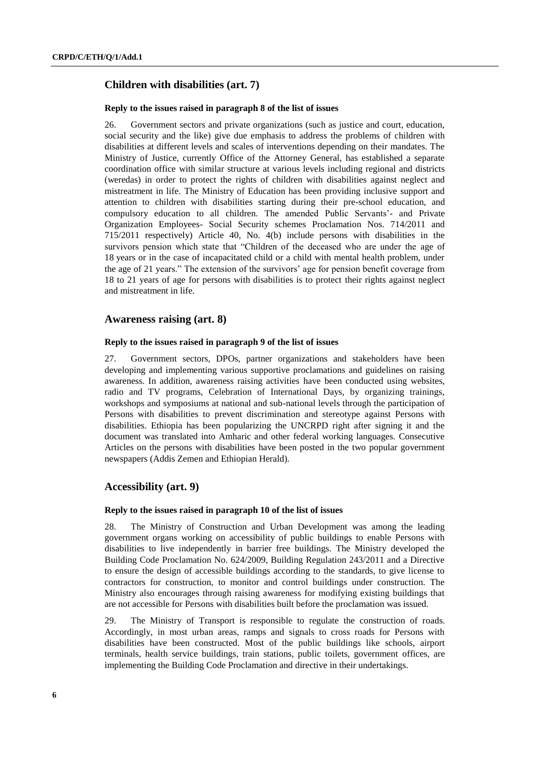# **Children with disabilities (art. 7)**

### **Reply to the issues raised in paragraph 8 of the list of issues**

26. Government sectors and private organizations (such as justice and court, education, social security and the like) give due emphasis to address the problems of children with disabilities at different levels and scales of interventions depending on their mandates. The Ministry of Justice, currently Office of the Attorney General, has established a separate coordination office with similar structure at various levels including regional and districts (weredas) in order to protect the rights of children with disabilities against neglect and mistreatment in life. The Ministry of Education has been providing inclusive support and attention to children with disabilities starting during their pre-school education, and compulsory education to all children. The amended Public Servants'- and Private Organization Employees- Social Security schemes Proclamation Nos. 714/2011 and 715/2011 respectively) Article 40, No. 4(b) include persons with disabilities in the survivors pension which state that "Children of the deceased who are under the age of 18 years or in the case of incapacitated child or a child with mental health problem, under the age of 21 years." The extension of the survivors' age for pension benefit coverage from 18 to 21 years of age for persons with disabilities is to protect their rights against neglect and mistreatment in life.

### **Awareness raising (art. 8)**

#### **Reply to the issues raised in paragraph 9 of the list of issues**

27. Government sectors, DPOs, partner organizations and stakeholders have been developing and implementing various supportive proclamations and guidelines on raising awareness. In addition, awareness raising activities have been conducted using websites, radio and TV programs, Celebration of International Days, by organizing trainings, workshops and symposiums at national and sub-national levels through the participation of Persons with disabilities to prevent discrimination and stereotype against Persons with disabilities. Ethiopia has been popularizing the UNCRPD right after signing it and the document was translated into Amharic and other federal working languages. Consecutive Articles on the persons with disabilities have been posted in the two popular government newspapers (Addis Zemen and Ethiopian Herald).

### **Accessibility (art. 9)**

### **Reply to the issues raised in paragraph 10 of the list of issues**

28. The Ministry of Construction and Urban Development was among the leading government organs working on accessibility of public buildings to enable Persons with disabilities to live independently in barrier free buildings. The Ministry developed the Building Code Proclamation No. 624/2009, Building Regulation 243/2011 and a Directive to ensure the design of accessible buildings according to the standards, to give license to contractors for construction, to monitor and control buildings under construction. The Ministry also encourages through raising awareness for modifying existing buildings that are not accessible for Persons with disabilities built before the proclamation was issued.

29. The Ministry of Transport is responsible to regulate the construction of roads. Accordingly, in most urban areas, ramps and signals to cross roads for Persons with disabilities have been constructed. Most of the public buildings like schools, airport terminals, health service buildings, train stations, public toilets, government offices, are implementing the Building Code Proclamation and directive in their undertakings.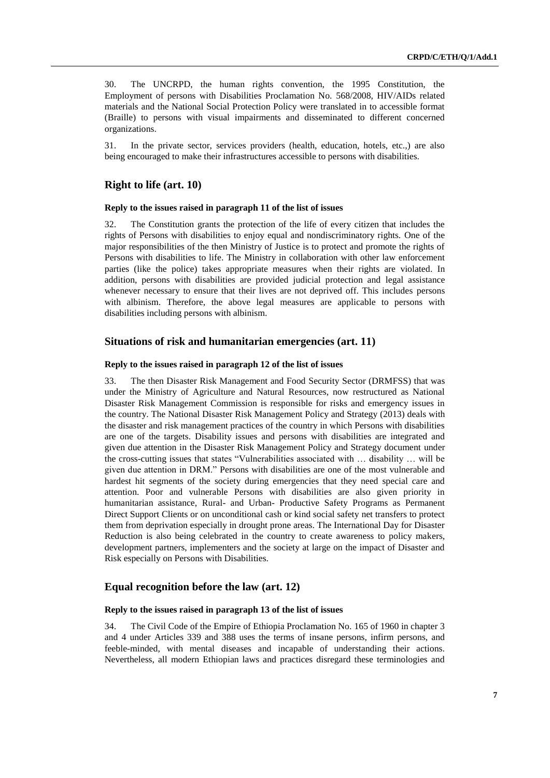30. The UNCRPD, the human rights convention, the 1995 Constitution, the Employment of persons with Disabilities Proclamation No. 568/2008, HIV/AIDs related materials and the National Social Protection Policy were translated in to accessible format (Braille) to persons with visual impairments and disseminated to different concerned organizations.

31. In the private sector, services providers (health, education, hotels, etc.,) are also being encouraged to make their infrastructures accessible to persons with disabilities.

### **Right to life (art. 10)**

### **Reply to the issues raised in paragraph 11 of the list of issues**

32. The Constitution grants the protection of the life of every citizen that includes the rights of Persons with disabilities to enjoy equal and nondiscriminatory rights. One of the major responsibilities of the then Ministry of Justice is to protect and promote the rights of Persons with disabilities to life. The Ministry in collaboration with other law enforcement parties (like the police) takes appropriate measures when their rights are violated. In addition, persons with disabilities are provided judicial protection and legal assistance whenever necessary to ensure that their lives are not deprived off. This includes persons with albinism. Therefore, the above legal measures are applicable to persons with disabilities including persons with albinism.

### **Situations of risk and humanitarian emergencies (art. 11)**

#### **Reply to the issues raised in paragraph 12 of the list of issues**

33. The then Disaster Risk Management and Food Security Sector (DRMFSS) that was under the Ministry of Agriculture and Natural Resources, now restructured as National Disaster Risk Management Commission is responsible for risks and emergency issues in the country. The National Disaster Risk Management Policy and Strategy (2013) deals with the disaster and risk management practices of the country in which Persons with disabilities are one of the targets. Disability issues and persons with disabilities are integrated and given due attention in the Disaster Risk Management Policy and Strategy document under the cross-cutting issues that states "Vulnerabilities associated with … disability … will be given due attention in DRM." Persons with disabilities are one of the most vulnerable and hardest hit segments of the society during emergencies that they need special care and attention. Poor and vulnerable Persons with disabilities are also given priority in humanitarian assistance, Rural- and Urban- Productive Safety Programs as Permanent Direct Support Clients or on unconditional cash or kind social safety net transfers to protect them from deprivation especially in drought prone areas. The International Day for Disaster Reduction is also being celebrated in the country to create awareness to policy makers, development partners, implementers and the society at large on the impact of Disaster and Risk especially on Persons with Disabilities.

# **Equal recognition before the law (art. 12)**

#### **Reply to the issues raised in paragraph 13 of the list of issues**

34. The Civil Code of the Empire of Ethiopia Proclamation No. 165 of 1960 in chapter 3 and 4 under Articles 339 and 388 uses the terms of insane persons, infirm persons, and feeble-minded, with mental diseases and incapable of understanding their actions. Nevertheless, all modern Ethiopian laws and practices disregard these terminologies and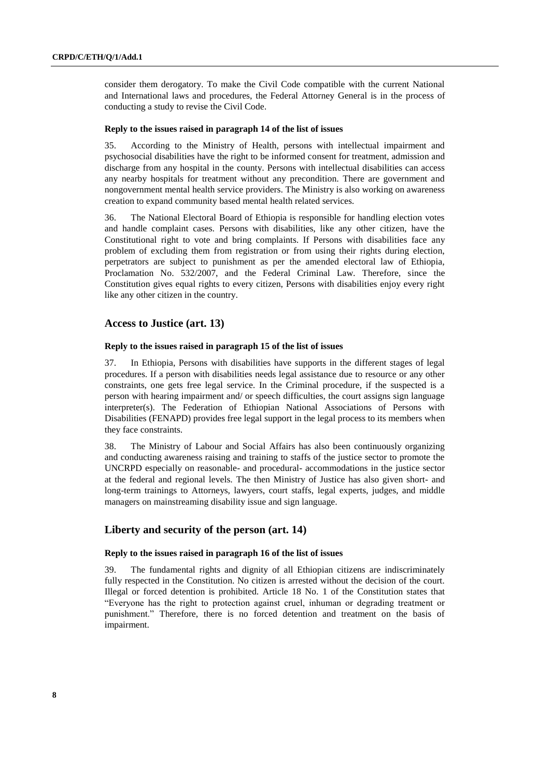consider them derogatory. To make the Civil Code compatible with the current National and International laws and procedures, the Federal Attorney General is in the process of conducting a study to revise the Civil Code.

### **Reply to the issues raised in paragraph 14 of the list of issues**

35. According to the Ministry of Health, persons with intellectual impairment and psychosocial disabilities have the right to be informed consent for treatment, admission and discharge from any hospital in the county. Persons with intellectual disabilities can access any nearby hospitals for treatment without any precondition. There are government and nongovernment mental health service providers. The Ministry is also working on awareness creation to expand community based mental health related services.

36. The National Electoral Board of Ethiopia is responsible for handling election votes and handle complaint cases. Persons with disabilities, like any other citizen, have the Constitutional right to vote and bring complaints. If Persons with disabilities face any problem of excluding them from registration or from using their rights during election, perpetrators are subject to punishment as per the amended electoral law of Ethiopia, Proclamation No. 532/2007, and the Federal Criminal Law. Therefore, since the Constitution gives equal rights to every citizen, Persons with disabilities enjoy every right like any other citizen in the country.

### **Access to Justice (art. 13)**

### **Reply to the issues raised in paragraph 15 of the list of issues**

37. In Ethiopia, Persons with disabilities have supports in the different stages of legal procedures. If a person with disabilities needs legal assistance due to resource or any other constraints, one gets free legal service. In the Criminal procedure, if the suspected is a person with hearing impairment and/ or speech difficulties, the court assigns sign language interpreter(s). The Federation of Ethiopian National Associations of Persons with Disabilities (FENAPD) provides free legal support in the legal process to its members when they face constraints.

38. The Ministry of Labour and Social Affairs has also been continuously organizing and conducting awareness raising and training to staffs of the justice sector to promote the UNCRPD especially on reasonable- and procedural- accommodations in the justice sector at the federal and regional levels. The then Ministry of Justice has also given short- and long-term trainings to Attorneys, lawyers, court staffs, legal experts, judges, and middle managers on mainstreaming disability issue and sign language.

# **Liberty and security of the person (art. 14)**

### **Reply to the issues raised in paragraph 16 of the list of issues**

39. The fundamental rights and dignity of all Ethiopian citizens are indiscriminately fully respected in the Constitution. No citizen is arrested without the decision of the court. Illegal or forced detention is prohibited. Article 18 No. 1 of the Constitution states that "Everyone has the right to protection against cruel, inhuman or degrading treatment or punishment." Therefore, there is no forced detention and treatment on the basis of impairment.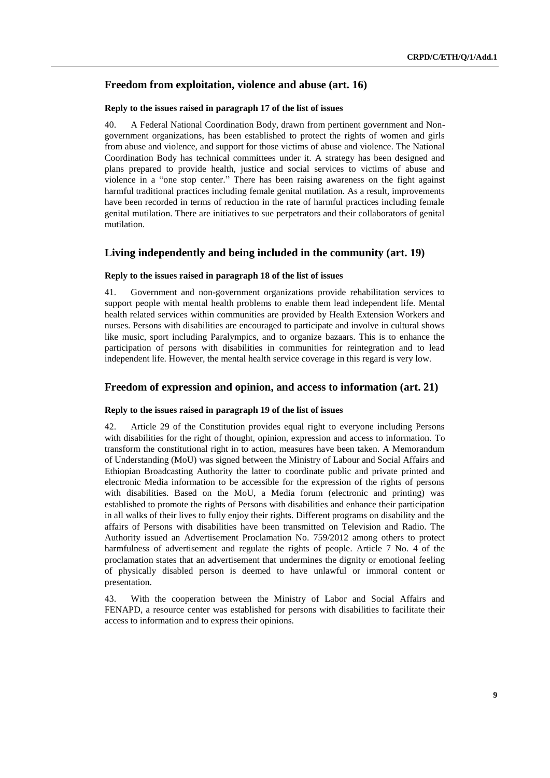# **Freedom from exploitation, violence and abuse (art. 16)**

### **Reply to the issues raised in paragraph 17 of the list of issues**

40. A Federal National Coordination Body, drawn from pertinent government and Nongovernment organizations, has been established to protect the rights of women and girls from abuse and violence, and support for those victims of abuse and violence. The National Coordination Body has technical committees under it. A strategy has been designed and plans prepared to provide health, justice and social services to victims of abuse and violence in a "one stop center." There has been raising awareness on the fight against harmful traditional practices including female genital mutilation. As a result, improvements have been recorded in terms of reduction in the rate of harmful practices including female genital mutilation. There are initiatives to sue perpetrators and their collaborators of genital mutilation.

# **Living independently and being included in the community (art. 19)**

### **Reply to the issues raised in paragraph 18 of the list of issues**

41. Government and non-government organizations provide rehabilitation services to support people with mental health problems to enable them lead independent life. Mental health related services within communities are provided by Health Extension Workers and nurses. Persons with disabilities are encouraged to participate and involve in cultural shows like music, sport including Paralympics, and to organize bazaars. This is to enhance the participation of persons with disabilities in communities for reintegration and to lead independent life. However, the mental health service coverage in this regard is very low.

### **Freedom of expression and opinion, and access to information (art. 21)**

### **Reply to the issues raised in paragraph 19 of the list of issues**

42. Article 29 of the Constitution provides equal right to everyone including Persons with disabilities for the right of thought, opinion, expression and access to information. To transform the constitutional right in to action, measures have been taken. A Memorandum of Understanding (MoU) was signed between the Ministry of Labour and Social Affairs and Ethiopian Broadcasting Authority the latter to coordinate public and private printed and electronic Media information to be accessible for the expression of the rights of persons with disabilities. Based on the MoU, a Media forum (electronic and printing) was established to promote the rights of Persons with disabilities and enhance their participation in all walks of their lives to fully enjoy their rights. Different programs on disability and the affairs of Persons with disabilities have been transmitted on Television and Radio. The Authority issued an Advertisement Proclamation No. 759/2012 among others to protect harmfulness of advertisement and regulate the rights of people. Article 7 No. 4 of the proclamation states that an advertisement that undermines the dignity or emotional feeling of physically disabled person is deemed to have unlawful or immoral content or presentation.

43. With the cooperation between the Ministry of Labor and Social Affairs and FENAPD, a resource center was established for persons with disabilities to facilitate their access to information and to express their opinions.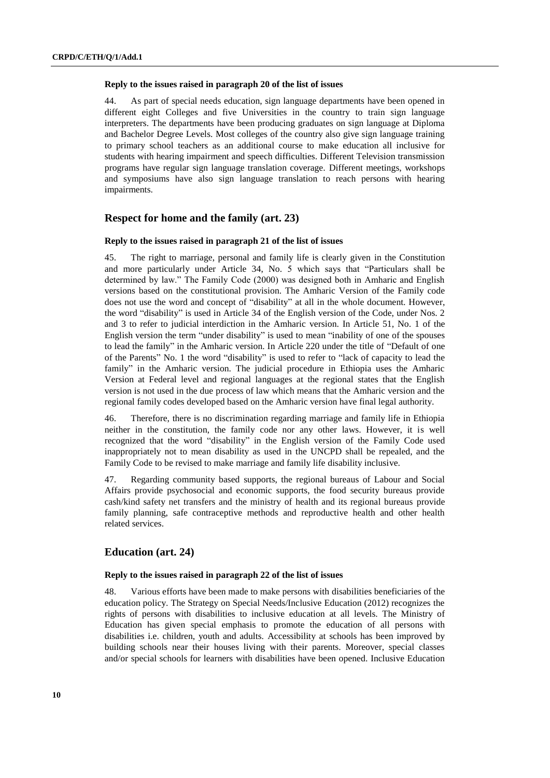#### **Reply to the issues raised in paragraph 20 of the list of issues**

44. As part of special needs education, sign language departments have been opened in different eight Colleges and five Universities in the country to train sign language interpreters. The departments have been producing graduates on sign language at Diploma and Bachelor Degree Levels. Most colleges of the country also give sign language training to primary school teachers as an additional course to make education all inclusive for students with hearing impairment and speech difficulties. Different Television transmission programs have regular sign language translation coverage. Different meetings, workshops and symposiums have also sign language translation to reach persons with hearing impairments.

# **Respect for home and the family (art. 23)**

#### **Reply to the issues raised in paragraph 21 of the list of issues**

45. The right to marriage, personal and family life is clearly given in the Constitution and more particularly under Article 34, No. 5 which says that "Particulars shall be determined by law." The Family Code (2000) was designed both in Amharic and English versions based on the constitutional provision. The Amharic Version of the Family code does not use the word and concept of "disability" at all in the whole document. However, the word "disability" is used in Article 34 of the English version of the Code, under Nos. 2 and 3 to refer to judicial interdiction in the Amharic version. In Article 51, No. 1 of the English version the term "under disability" is used to mean "inability of one of the spouses to lead the family" in the Amharic version. In Article 220 under the title of "Default of one of the Parents" No. 1 the word "disability" is used to refer to "lack of capacity to lead the family" in the Amharic version. The judicial procedure in Ethiopia uses the Amharic Version at Federal level and regional languages at the regional states that the English version is not used in the due process of law which means that the Amharic version and the regional family codes developed based on the Amharic version have final legal authority.

46. Therefore, there is no discrimination regarding marriage and family life in Ethiopia neither in the constitution, the family code nor any other laws. However, it is well recognized that the word "disability" in the English version of the Family Code used inappropriately not to mean disability as used in the UNCPD shall be repealed, and the Family Code to be revised to make marriage and family life disability inclusive.

47. Regarding community based supports, the regional bureaus of Labour and Social Affairs provide psychosocial and economic supports, the food security bureaus provide cash/kind safety net transfers and the ministry of health and its regional bureaus provide family planning, safe contraceptive methods and reproductive health and other health related services.

# **Education (art. 24)**

#### **Reply to the issues raised in paragraph 22 of the list of issues**

48. Various efforts have been made to make persons with disabilities beneficiaries of the education policy. The Strategy on Special Needs/Inclusive Education (2012) recognizes the rights of persons with disabilities to inclusive education at all levels. The Ministry of Education has given special emphasis to promote the education of all persons with disabilities i.e. children, youth and adults. Accessibility at schools has been improved by building schools near their houses living with their parents. Moreover, special classes and/or special schools for learners with disabilities have been opened. Inclusive Education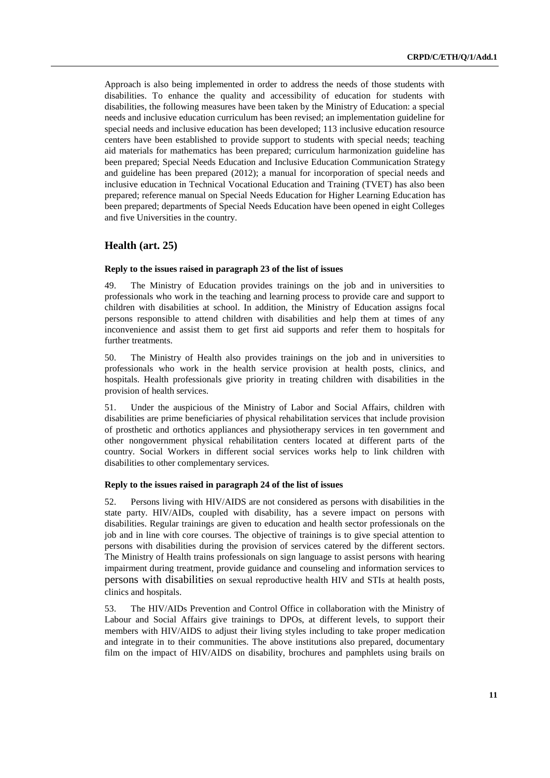Approach is also being implemented in order to address the needs of those students with disabilities. To enhance the quality and accessibility of education for students with disabilities, the following measures have been taken by the Ministry of Education: a special needs and inclusive education curriculum has been revised; an implementation guideline for special needs and inclusive education has been developed; 113 inclusive education resource centers have been established to provide support to students with special needs; teaching aid materials for mathematics has been prepared; curriculum harmonization guideline has been prepared; Special Needs Education and Inclusive Education Communication Strategy and guideline has been prepared (2012); a manual for incorporation of special needs and inclusive education in Technical Vocational Education and Training (TVET) has also been prepared; reference manual on Special Needs Education for Higher Learning Education has been prepared; departments of Special Needs Education have been opened in eight Colleges and five Universities in the country.

### **Health (art. 25)**

### **Reply to the issues raised in paragraph 23 of the list of issues**

The Ministry of Education provides trainings on the job and in universities to professionals who work in the teaching and learning process to provide care and support to children with disabilities at school. In addition, the Ministry of Education assigns focal persons responsible to attend children with disabilities and help them at times of any inconvenience and assist them to get first aid supports and refer them to hospitals for further treatments.

50. The Ministry of Health also provides trainings on the job and in universities to professionals who work in the health service provision at health posts, clinics, and hospitals. Health professionals give priority in treating children with disabilities in the provision of health services.

51. Under the auspicious of the Ministry of Labor and Social Affairs, children with disabilities are prime beneficiaries of physical rehabilitation services that include provision of prosthetic and orthotics appliances and physiotherapy services in ten government and other nongovernment physical rehabilitation centers located at different parts of the country. Social Workers in different social services works help to link children with disabilities to other complementary services.

### **Reply to the issues raised in paragraph 24 of the list of issues**

52. Persons living with HIV/AIDS are not considered as persons with disabilities in the state party. HIV/AIDs, coupled with disability, has a severe impact on persons with disabilities. Regular trainings are given to education and health sector professionals on the job and in line with core courses. The objective of trainings is to give special attention to persons with disabilities during the provision of services catered by the different sectors. The Ministry of Health trains professionals on sign language to assist persons with hearing impairment during treatment, provide guidance and counseling and information services to persons with disabilities on sexual reproductive health HIV and STIs at health posts, clinics and hospitals.

53. The HIV/AIDs Prevention and Control Office in collaboration with the Ministry of Labour and Social Affairs give trainings to DPOs, at different levels, to support their members with HIV/AIDS to adjust their living styles including to take proper medication and integrate in to their communities. The above institutions also prepared, documentary film on the impact of HIV/AIDS on disability, brochures and pamphlets using brails on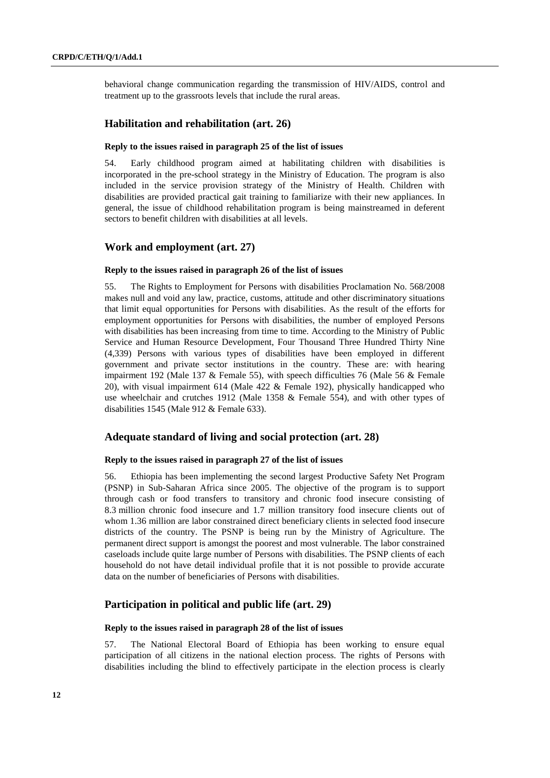behavioral change communication regarding the transmission of HIV/AIDS, control and treatment up to the grassroots levels that include the rural areas.

### **Habilitation and rehabilitation (art. 26)**

### **Reply to the issues raised in paragraph 25 of the list of issues**

54. Early childhood program aimed at habilitating children with disabilities is incorporated in the pre-school strategy in the Ministry of Education. The program is also included in the service provision strategy of the Ministry of Health. Children with disabilities are provided practical gait training to familiarize with their new appliances. In general, the issue of childhood rehabilitation program is being mainstreamed in deferent sectors to benefit children with disabilities at all levels.

# **Work and employment (art. 27)**

### **Reply to the issues raised in paragraph 26 of the list of issues**

55. The Rights to Employment for Persons with disabilities Proclamation No. 568/2008 makes null and void any law, practice, customs, attitude and other discriminatory situations that limit equal opportunities for Persons with disabilities. As the result of the efforts for employment opportunities for Persons with disabilities, the number of employed Persons with disabilities has been increasing from time to time. According to the Ministry of Public Service and Human Resource Development, Four Thousand Three Hundred Thirty Nine (4,339) Persons with various types of disabilities have been employed in different government and private sector institutions in the country. These are: with hearing impairment 192 (Male 137 & Female 55), with speech difficulties 76 (Male 56 & Female 20), with visual impairment 614 (Male 422 & Female 192), physically handicapped who use wheelchair and crutches 1912 (Male 1358 & Female 554), and with other types of disabilities 1545 (Male 912 & Female 633).

### **Adequate standard of living and social protection (art. 28)**

### **Reply to the issues raised in paragraph 27 of the list of issues**

56. Ethiopia has been implementing the second largest Productive Safety Net Program (PSNP) in Sub-Saharan Africa since 2005. The objective of the program is to support through cash or food transfers to transitory and chronic food insecure consisting of 8.3 million chronic food insecure and 1.7 million transitory food insecure clients out of whom 1.36 million are labor constrained direct beneficiary clients in selected food insecure districts of the country. The PSNP is being run by the Ministry of Agriculture. The permanent direct support is amongst the poorest and most vulnerable. The labor constrained caseloads include quite large number of Persons with disabilities. The PSNP clients of each household do not have detail individual profile that it is not possible to provide accurate data on the number of beneficiaries of Persons with disabilities.

# **Participation in political and public life (art. 29)**

#### **Reply to the issues raised in paragraph 28 of the list of issues**

57. The National Electoral Board of Ethiopia has been working to ensure equal participation of all citizens in the national election process. The rights of Persons with disabilities including the blind to effectively participate in the election process is clearly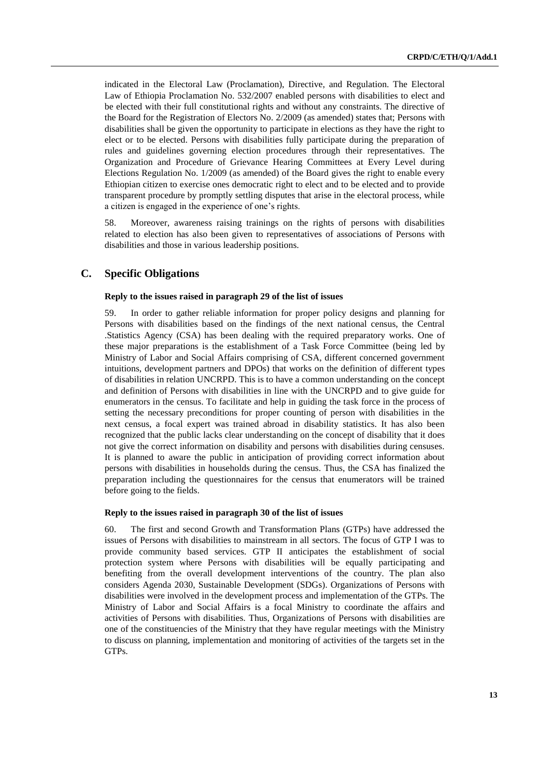indicated in the Electoral Law (Proclamation), Directive, and Regulation. The Electoral Law of Ethiopia Proclamation No. 532/2007 enabled persons with disabilities to elect and be elected with their full constitutional rights and without any constraints. The directive of the Board for the Registration of Electors No. 2/2009 (as amended) states that; Persons with disabilities shall be given the opportunity to participate in elections as they have the right to elect or to be elected. Persons with disabilities fully participate during the preparation of rules and guidelines governing election procedures through their representatives. The Organization and Procedure of Grievance Hearing Committees at Every Level during Elections Regulation No. 1/2009 (as amended) of the Board gives the right to enable every Ethiopian citizen to exercise ones democratic right to elect and to be elected and to provide transparent procedure by promptly settling disputes that arise in the electoral process, while a citizen is engaged in the experience of one's rights.

58. Moreover, awareness raising trainings on the rights of persons with disabilities related to election has also been given to representatives of associations of Persons with disabilities and those in various leadership positions.

# **C. Specific Obligations**

### **Reply to the issues raised in paragraph 29 of the list of issues**

59. In order to gather reliable information for proper policy designs and planning for Persons with disabilities based on the findings of the next national census, the Central .Statistics Agency (CSA) has been dealing with the required preparatory works. One of these major preparations is the establishment of a Task Force Committee (being led by Ministry of Labor and Social Affairs comprising of CSA, different concerned government intuitions, development partners and DPOs) that works on the definition of different types of disabilities in relation UNCRPD. This is to have a common understanding on the concept and definition of Persons with disabilities in line with the UNCRPD and to give guide for enumerators in the census. To facilitate and help in guiding the task force in the process of setting the necessary preconditions for proper counting of person with disabilities in the next census, a focal expert was trained abroad in disability statistics. It has also been recognized that the public lacks clear understanding on the concept of disability that it does not give the correct information on disability and persons with disabilities during censuses. It is planned to aware the public in anticipation of providing correct information about persons with disabilities in households during the census. Thus, the CSA has finalized the preparation including the questionnaires for the census that enumerators will be trained before going to the fields.

#### **Reply to the issues raised in paragraph 30 of the list of issues**

60. The first and second Growth and Transformation Plans (GTPs) have addressed the issues of Persons with disabilities to mainstream in all sectors. The focus of GTP I was to provide community based services. GTP II anticipates the establishment of social protection system where Persons with disabilities will be equally participating and benefiting from the overall development interventions of the country. The plan also considers Agenda 2030, Sustainable Development (SDGs). Organizations of Persons with disabilities were involved in the development process and implementation of the GTPs. The Ministry of Labor and Social Affairs is a focal Ministry to coordinate the affairs and activities of Persons with disabilities. Thus, Organizations of Persons with disabilities are one of the constituencies of the Ministry that they have regular meetings with the Ministry to discuss on planning, implementation and monitoring of activities of the targets set in the GTPs.